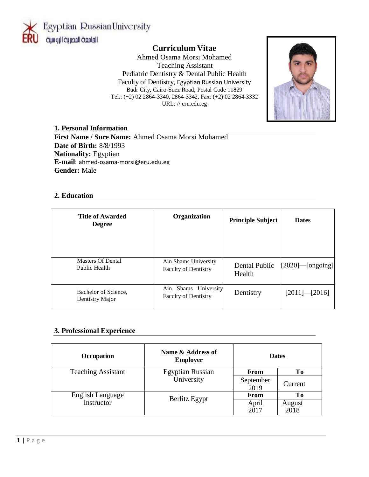

## **Curriculum Vitae**

Ahmed Osama Morsi Mohamed Teaching Assistant Pediatric Dentistry & Dental Public Health Faculty of Dentistry, Egyptian Russian University Badr City, Cairo-Suez Road, Postal Code 11829 Tel.: (+2) 02 2864-3340, 2864-3342, Fax: (+2) 02 2864-3332 URL: // eru.edu.eg



#### **1. Personal Information**

**First Name / Sure Name:** Ahmed Osama Morsi Mohamed **Date of Birth:** 8/8/1993 **Nationality:** Egyptian **E-mail**: ahmed-osama-morsi@eru.edu.eg **Gender:** Male

## **2. Education**

| <b>Title of Awarded</b><br><b>Degree</b> | <b>Organization</b>                                 | <b>Principle Subject</b> | <b>Dates</b>        |
|------------------------------------------|-----------------------------------------------------|--------------------------|---------------------|
| Masters Of Dental<br>Public Health       | Ain Shams University<br><b>Faculty of Dentistry</b> | Dental Public<br>Health  | $[2020]$ [ongoing]  |
| Bachelor of Science,<br>Dentistry Major  | Ain Shams University<br><b>Faculty of Dentistry</b> | Dentistry                | $[2011]$ - $[2016]$ |

## **3. Professional Experience**

| Occupation                            | Name & Address of<br><b>Employer</b> | <b>Dates</b> |                |
|---------------------------------------|--------------------------------------|--------------|----------------|
| <b>Teaching Assistant</b>             | <b>Egyptian Russian</b>              | <b>From</b>  | Tо             |
|                                       | University                           | September    | Current        |
|                                       |                                      | 2019         |                |
| <b>English Language</b><br>Instructor | Berlitz Egypt                        | <b>From</b>  | T <sub>0</sub> |
|                                       |                                      | April        | August         |
|                                       |                                      | 2017         | 2018           |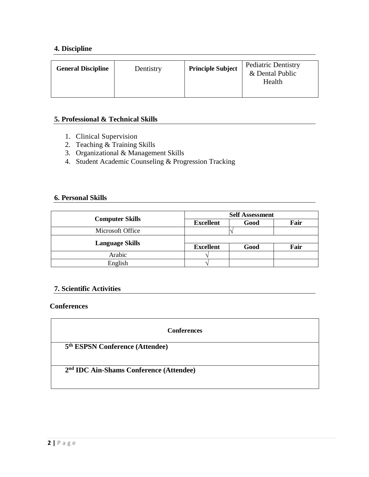## **4. Discipline**

| <b>General Discipline</b> | Dentistry | <b>Principle Subject</b> | <b>Pediatric Dentistry</b><br>& Dental Public |
|---------------------------|-----------|--------------------------|-----------------------------------------------|
|                           |           |                          | Health                                        |

#### **5. Professional & Technical Skills**

- 1. Clinical Supervision
- 2. Teaching & Training Skills
- 3. Organizational & Management Skills
- 4. Student Academic Counseling & Progression Tracking

#### **6. Personal Skills**

| <b>Computer Skills</b> |                  | <b>Self Assessment</b> |      |  |
|------------------------|------------------|------------------------|------|--|
|                        | <b>Excellent</b> | Good                   | Fair |  |
| Microsoft Office       |                  |                        |      |  |
|                        |                  |                        |      |  |
| <b>Language Skills</b> | <b>Excellent</b> | Good                   | Fair |  |
| Arabic                 |                  |                        |      |  |
| English                |                  |                        |      |  |

## **7. Scientific Activities**

## **Conferences**

| <b>Conferences</b>                                  |
|-----------------------------------------------------|
| 5 <sup>th</sup> ESPSN Conference (Attendee)         |
|                                                     |
|                                                     |
| 2 <sup>nd</sup> IDC Ain-Shams Conference (Attendee) |
|                                                     |
|                                                     |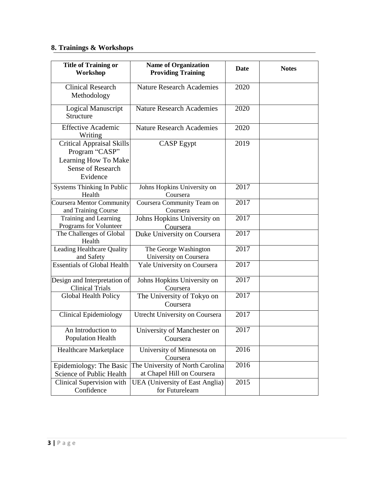# **8. Trainings & Workshops**

| <b>Title of Training or</b>                                                                                        | <b>Name of Organization</b>                                    | <b>Date</b> | <b>Notes</b> |
|--------------------------------------------------------------------------------------------------------------------|----------------------------------------------------------------|-------------|--------------|
| Workshop                                                                                                           | <b>Providing Training</b>                                      |             |              |
| <b>Clinical Research</b><br>Methodology                                                                            | <b>Nature Research Academies</b>                               | 2020        |              |
| <b>Logical Manuscript</b><br>Structure                                                                             | <b>Nature Research Academies</b>                               | 2020        |              |
| <b>Effective Academic</b><br>Writing                                                                               | <b>Nature Research Academies</b>                               | 2020        |              |
| <b>Critical Appraisal Skills</b><br>Program "CASP"<br>Learning How To Make<br><b>Sense of Research</b><br>Evidence | <b>CASP Egypt</b>                                              | 2019        |              |
| Systems Thinking In Public<br>Health                                                                               | Johns Hopkins University on<br>Coursera                        | 2017        |              |
| <b>Coursera Mentor Community</b><br>and Training Course                                                            | Coursera Community Team on<br>Coursera                         | 2017        |              |
| Training and Learning<br>Programs for Volunteer                                                                    | Johns Hopkins University on<br>Coursera                        | 2017        |              |
| The Challenges of Global<br>Health                                                                                 | Duke University on Coursera                                    | 2017        |              |
| Leading Healthcare Quality<br>and Safety                                                                           | The George Washington<br>University on Coursera                | 2017        |              |
| <b>Essentials of Global Health</b>                                                                                 | Yale University on Coursera                                    | 2017        |              |
| Design and Interpretation of<br><b>Clinical Trials</b>                                                             | Johns Hopkins University on<br>Coursera                        | 2017        |              |
| Global Health Policy                                                                                               | The University of Tokyo on<br>Coursera                         | 2017        |              |
| <b>Clinical Epidemiology</b>                                                                                       | Utrecht University on Coursera                                 | 2017        |              |
| An Introduction to<br>Population Health                                                                            | University of Manchester on<br>Coursera                        | 2017        |              |
| Healthcare Marketplace                                                                                             | University of Minnesota on<br>Coursera                         | 2016        |              |
| Epidemiology: The Basic<br>Science of Public Health                                                                | The University of North Carolina<br>at Chapel Hill on Coursera | 2016        |              |
| Clinical Supervision with<br>Confidence                                                                            | <b>UEA</b> (University of East Anglia)<br>for Futurelearn      | 2015        |              |